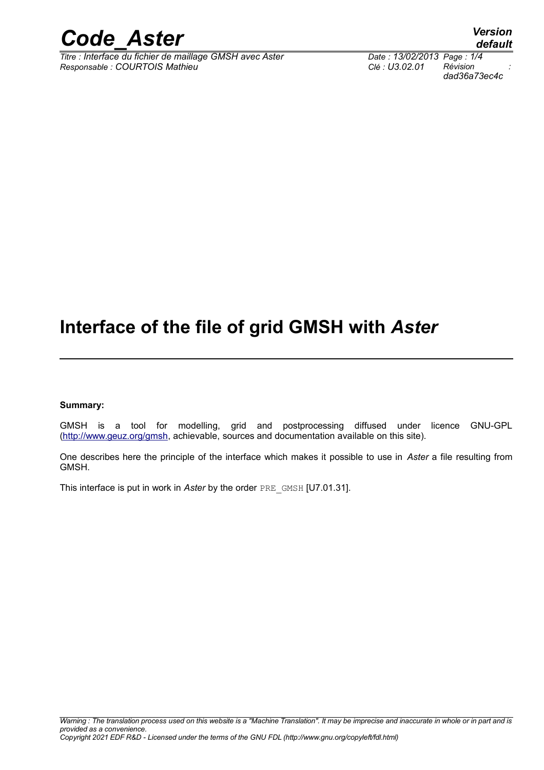

 $\overline{T}$ itre : Interface du fichier de maillage GMSH avec Aster *Responsable : COURTOIS Mathieu Clé : U3.02.01 Révision :*

*dad36a73ec4c*

# **Interface of the file of grid GMSH with** *Aster*

#### **Summary:**

GMSH is a tool for modelling, grid and postprocessing diffused under licence GNU-GPL [\(http://www.geuz.org/gmsh,](http://www.geuz.org/gmsh) achievable, sources and documentation available on this site).

One describes here the principle of the interface which makes it possible to use in *Aster* a file resulting from GMSH.

This interface is put in work in *Aster* by the order PRE\_GMSH [U7.01.31].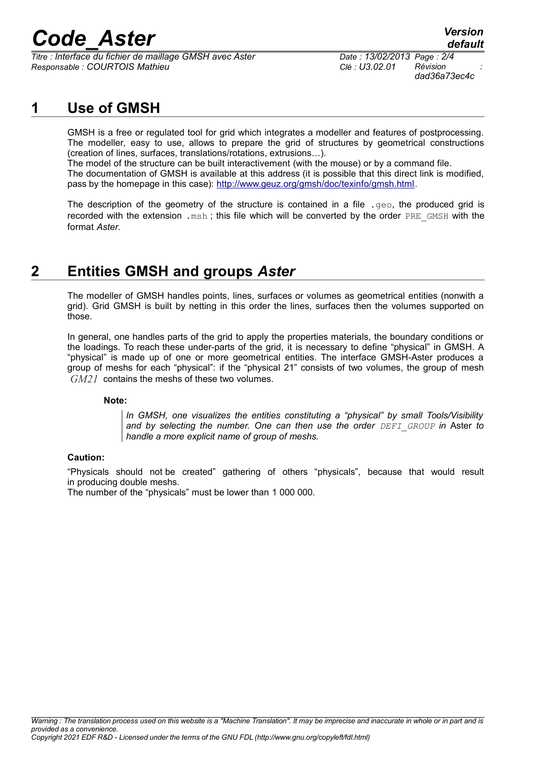# *Code\_Aster Version*

*Titre : Interface du fichier de maillage GMSH avec Aster Date : 13/02/2013 Page : 2/4 Responsable : COURTOIS Mathieu Clé : U3.02.01 Révision :*

## **1 Use of GMSH**

GMSH is a free or regulated tool for grid which integrates a modeller and features of postprocessing. The modeller, easy to use, allows to prepare the grid of structures by geometrical constructions (creation of lines, surfaces, translations/rotations, extrusions…).

The model of the structure can be built interactivement (with the mouse) or by a command file. The documentation of GMSH is available at this address (it is possible that this direct link is modified, pass by the homepage in this case): [http://www.geuz.org/gmsh/doc/texinfo/gmsh.html.](http://www.geuz.org/gmsh/doc/texinfo/gmsh.html)

The description of the geometry of the structure is contained in a file  $.$  geo, the produced grid is recorded with the extension, msh; this file which will be converted by the order PRE GMSH with the format *Aster*.

## **2 Entities GMSH and groups** *Aster*

The modeller of GMSH handles points, lines, surfaces or volumes as geometrical entities (nonwith a grid). Grid GMSH is built by netting in this order the lines, surfaces then the volumes supported on those.

In general, one handles parts of the grid to apply the properties materials, the boundary conditions or the loadings. To reach these under-parts of the grid, it is necessary to define "physical" in GMSH. A "physical" is made up of one or more geometrical entities. The interface GMSH-Aster produces a group of meshs for each "physical": if the "physical 21" consists of two volumes, the group of mesh *GM21* contains the meshs of these two volumes.

#### **Note:**

*In GMSH, one visualizes the entities constituting a "physical" by small Tools/Visibility and by selecting the number. One can then use the order DEFI\_GROUP in* Aster *to handle a more explicit name of group of meshs.*

#### **Caution:**

"Physicals should not be created" gathering of others "physicals", because that would result in producing double meshs.

The number of the "physicals" must be lower than 1 000 000.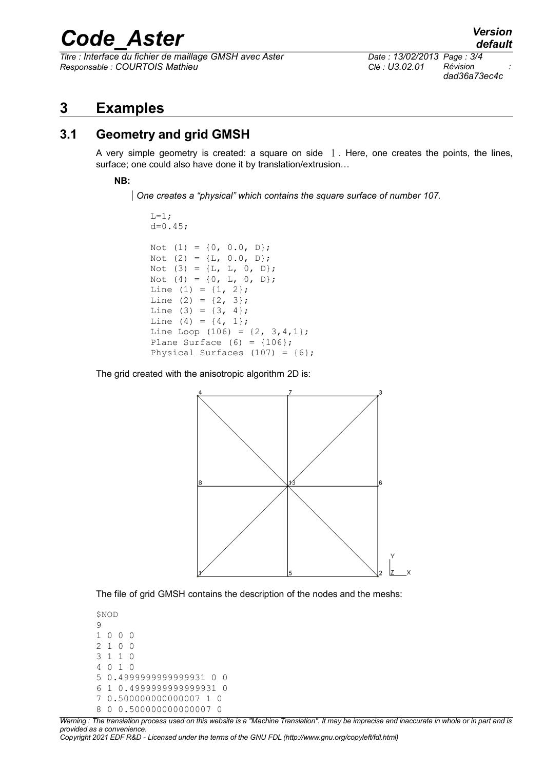# *Code\_Aster Version*

*Titre : Interface du fichier de maillage GMSH avec Aster Date : 13/02/2013 Page : 3/4 Responsable : COURTOIS Mathieu Clé : U3.02.01 Révision :*

## **3 Examples**

#### **3.1 Geometry and grid GMSH**

A very simple geometry is created: a square on side  $1$ . Here, one creates the points, the lines, surface; one could also have done it by translation/extrusion…

**NB:** 

*One creates a "physical" which contains the square surface of number 107.*

 $L=1;$  $d=0.45;$ Not (1) =  $\{0, 0.0, D\};$ Not (2) =  ${L, 0.0, D};$ Not (3) =  ${L, L, 0, D};$ Not (4) =  $\{0, L, 0, D\};$ Line  $(1) = \{1, 2\};$ Line (2) =  $\{2, 3\}$ ; Line  $(3) = \{3, 4\}$ ; Line  $(4) = \{4, 1\};$ Line Loop (106) =  $\{2, 3, 4, 1\}$ ; Plane Surface  $(6) = \{106\}$ ; Physical Surfaces  $(107) = \{6\}$ ;

The grid created with the anisotropic algorithm 2D is:



The file of grid GMSH contains the description of the nodes and the meshs:

```
$NOD
\overline{Q}1 0 0 0
2 1 0 0
3 1 1 0
4 0 1 0
5 0.4999999999999931 0 0
6 1 0.4999999999999931 0
7 0.500000000000007 1 0
8 0 0.500000000000007 0
```
*Warning : The translation process used on this website is a "Machine Translation". It may be imprecise and inaccurate in whole or in part and is provided as a convenience.*

*Copyright 2021 EDF R&D - Licensed under the terms of the GNU FDL (http://www.gnu.org/copyleft/fdl.html)*